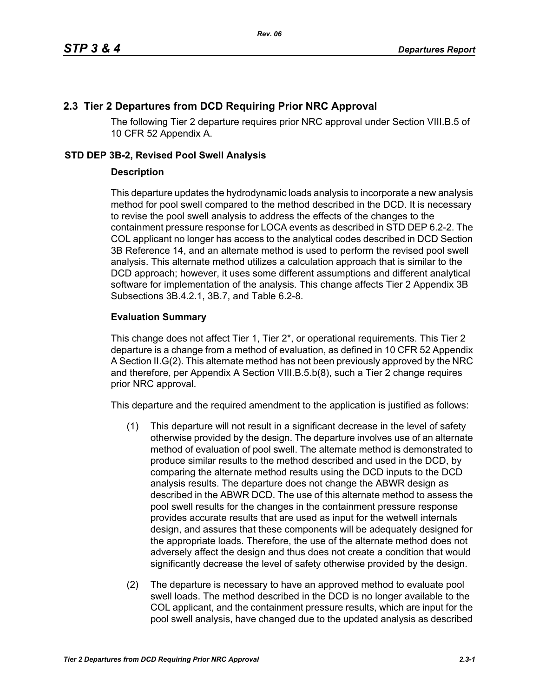## **2.3 Tier 2 Departures from DCD Requiring Prior NRC Approval**

The following Tier 2 departure requires prior NRC approval under Section VIII.B.5 of 10 CFR 52 Appendix A.

## **STD DEP 3B-2, Revised Pool Swell Analysis**

## **Description**

This departure updates the hydrodynamic loads analysis to incorporate a new analysis method for pool swell compared to the method described in the DCD. It is necessary to revise the pool swell analysis to address the effects of the changes to the containment pressure response for LOCA events as described in STD DEP 6.2-2. The COL applicant no longer has access to the analytical codes described in DCD Section 3B Reference 14, and an alternate method is used to perform the revised pool swell analysis. This alternate method utilizes a calculation approach that is similar to the DCD approach; however, it uses some different assumptions and different analytical software for implementation of the analysis. This change affects Tier 2 Appendix 3B Subsections 3B.4.2.1, 3B.7, and Table 6.2-8.

## **Evaluation Summary**

This change does not affect Tier 1, Tier 2\*, or operational requirements. This Tier 2 departure is a change from a method of evaluation, as defined in 10 CFR 52 Appendix A Section II.G(2). This alternate method has not been previously approved by the NRC and therefore, per Appendix A Section VIII.B.5.b(8), such a Tier 2 change requires prior NRC approval.

This departure and the required amendment to the application is justified as follows:

- (1) This departure will not result in a significant decrease in the level of safety otherwise provided by the design. The departure involves use of an alternate method of evaluation of pool swell. The alternate method is demonstrated to produce similar results to the method described and used in the DCD, by comparing the alternate method results using the DCD inputs to the DCD analysis results. The departure does not change the ABWR design as described in the ABWR DCD. The use of this alternate method to assess the pool swell results for the changes in the containment pressure response provides accurate results that are used as input for the wetwell internals design, and assures that these components will be adequately designed for the appropriate loads. Therefore, the use of the alternate method does not adversely affect the design and thus does not create a condition that would significantly decrease the level of safety otherwise provided by the design.
- (2) The departure is necessary to have an approved method to evaluate pool swell loads. The method described in the DCD is no longer available to the COL applicant, and the containment pressure results, which are input for the pool swell analysis, have changed due to the updated analysis as described